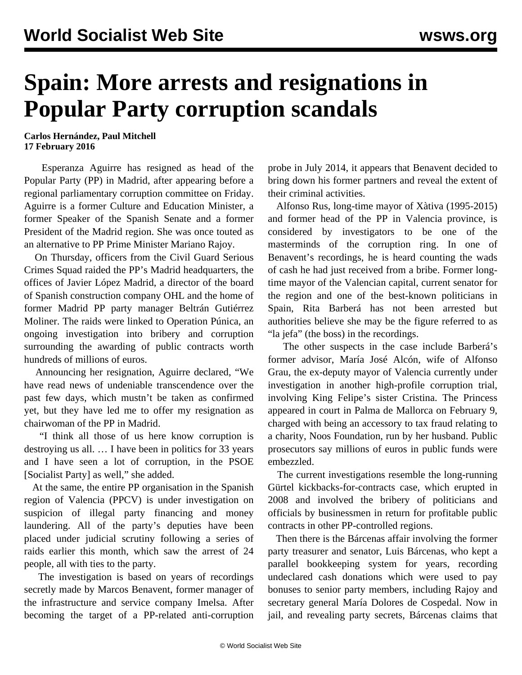## **Spain: More arrests and resignations in Popular Party corruption scandals**

**Carlos Hernández, Paul Mitchell 17 February 2016**

 Esperanza Aguirre has resigned as head of the Popular Party (PP) in Madrid, after appearing before a regional parliamentary corruption committee on Friday. Aguirre is a former Culture and Education Minister, a former Speaker of the Spanish Senate and a former President of the Madrid region. She was once touted as an alternative to PP Prime Minister Mariano Rajoy.

 On Thursday, officers from the Civil Guard Serious Crimes Squad raided the PP's Madrid headquarters, the offices of Javier López Madrid, a director of the board of Spanish construction company OHL and the home of former Madrid PP party manager Beltrán Gutiérrez Moliner. The raids were linked to Operation Púnica, an ongoing investigation into bribery and corruption surrounding the awarding of public contracts worth hundreds of millions of euros.

 Announcing her resignation, Aguirre declared, "We have read news of undeniable transcendence over the past few days, which mustn't be taken as confirmed yet, but they have led me to offer my resignation as chairwoman of the PP in Madrid.

 "I think all those of us here know corruption is destroying us all. … I have been in politics for 33 years and I have seen a lot of corruption, in the PSOE [Socialist Party] as well," she added.

 At the same, the entire PP organisation in the Spanish region of Valencia (PPCV) is under investigation on suspicion of illegal party financing and money laundering. All of the party's deputies have been placed under judicial scrutiny following a series of raids earlier this month, which saw the arrest of 24 people, all with ties to the party.

 The investigation is based on years of recordings secretly made by Marcos Benavent, former manager of the infrastructure and service company Imelsa. After becoming the target of a PP-related anti-corruption probe in July 2014, it appears that Benavent decided to bring down his former partners and reveal the extent of their criminal activities.

 Alfonso Rus, long-time mayor of Xàtiva (1995-2015) and former head of the PP in Valencia province, is considered by investigators to be one of the masterminds of the corruption ring. In one of Benavent's recordings, he is heard counting the wads of cash he had just received from a bribe. Former longtime mayor of the Valencian capital, current senator for the region and one of the best-known politicians in Spain, Rita Barberá has not been arrested but authorities believe she may be the figure referred to as "la jefa" (the boss) in the recordings.

 The other suspects in the case include Barberá's former advisor, María José Alcón, wife of Alfonso Grau, the ex-deputy mayor of Valencia currently under investigation in another high-profile corruption trial, involving King Felipe's sister [Cristina](/en/articles/2014/01/30/spai-j30.html). The Princess appeared in court in Palma de Mallorca on February 9, charged with being an accessory to tax fraud relating to a charity, Noos Foundation, run by her husband. Public prosecutors say millions of euros in public funds were embezzled.

 The current investigations resemble the long-running [Gürtel](/en/articles/2013/02/14/popu-f14.html) kickbacks-for-contracts case, which erupted in 2008 and involved the bribery of politicians and officials by businessmen in return for profitable public contracts in other PP-controlled regions.

 Then there is the [Bárcenas affair](/en/articles/2013/02/06/spai-f06.html) involving the former party treasurer and senator, Luis Bárcenas, who kept a parallel bookkeeping system for years, recording undeclared cash donations which were used to pay bonuses to senior party members, including Rajoy and secretary general María Dolores de Cospedal. Now in jail, and revealing party secrets, Bárcenas claims that